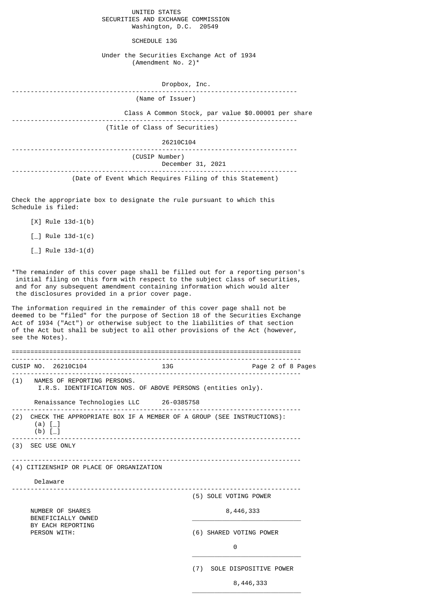UNITED STATES SECURITIES AND EXCHANGE COMMISSION Washington, D.C. 20549

SCHEDULE 13G

Under the Securities Exchange Act of 1934 (Amendment No. 2)\*

| Dropbox, Inc.                                       |
|-----------------------------------------------------|
| (Name of Issuer)                                    |
| Class A Common Stock, par value \$0.00001 per share |
| (Title of Class of Securities)                      |
| 26210C104                                           |
| (CUSIP Number)<br>December 31, 2021                 |
|                                                     |

(Date of Event Which Requires Filing of this Statement)

Check the appropriate box to designate the rule pursuant to which this Schedule is filed:

- [X] Rule 13d-1(b)
- $\lceil \_$  Rule 13d-1(c)
- $[-]$  Rule 13d-1(d)

\*The remainder of this cover page shall be filled out for a reporting person's initial filing on this form with respect to the subject class of securities, and for any subsequent amendment containing information which would alter the disclosures provided in a prior cover page.

The information required in the remainder of this cover page shall not be deemed to be "filed" for the purpose of Section 18 of the Securities Exchange Act of 1934 ("Act") or otherwise subject to the liabilities of that section of the Act but shall be subject to all other provisions of the Act (however, see the Notes).

|                                          |                                                                                                            | CUSIP NO. 26210C104                     |  | <b>13G</b> |                         | Page 2 of 8 Pages      |
|------------------------------------------|------------------------------------------------------------------------------------------------------------|-----------------------------------------|--|------------|-------------------------|------------------------|
|                                          | (1) NAMES OF REPORTING PERSONS.<br>I.R.S. IDENTIFICATION NOS. OF ABOVE PERSONS (entities only).            |                                         |  |            |                         |                        |
|                                          |                                                                                                            | Renaissance Technologies LLC 26-0385758 |  |            |                         |                        |
|                                          | (2) CHECK THE APPROPRIATE BOX IF A MEMBER OF A GROUP (SEE INSTRUCTIONS):<br>$(a)$ $\lceil \_$<br>(b) $[-]$ |                                         |  |            |                         |                        |
|                                          |                                                                                                            | (3) SEC USE ONLY                        |  |            |                         |                        |
| (4) CITIZENSHIP OR PLACE OF ORGANIZATION |                                                                                                            |                                         |  |            |                         |                        |
|                                          |                                                                                                            | Delaware                                |  |            |                         |                        |
|                                          |                                                                                                            |                                         |  |            |                         | (5) SOLE VOTING POWER  |
|                                          | NUMBER OF SHARES<br>BENEFICIALLY OWNED<br>BY EACH REPORTING<br>PERSON WITH:                                |                                         |  | 8,446,333  |                         |                        |
|                                          |                                                                                                            |                                         |  |            | (6) SHARED VOTING POWER |                        |
|                                          |                                                                                                            |                                         |  |            |                         | $\Theta$               |
|                                          |                                                                                                            |                                         |  |            | (7)                     | SOLE DISPOSITIVE POWER |

 $\overline{\phantom{a}}$  , and the state of the state of the state of the state of the state of the state of the state of the state of the state of the state of the state of the state of the state of the state of the state of the stat

8,446,333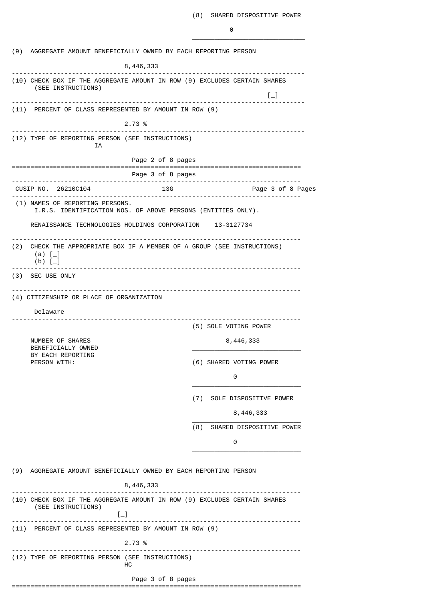|                                                          | (9) AGGREGATE AMOUNT BENEFICIALLY OWNED BY EACH REPORTING PERSON                                                      |                                                                  |  |  |  |  |  |  |
|----------------------------------------------------------|-----------------------------------------------------------------------------------------------------------------------|------------------------------------------------------------------|--|--|--|--|--|--|
|                                                          | 8, 446, 333                                                                                                           |                                                                  |  |  |  |  |  |  |
|                                                          | (10) CHECK BOX IF THE AGGREGATE AMOUNT IN ROW (9) EXCLUDES CERTAIN SHARES<br>(SEE INSTRUCTIONS)                       | $\left[\begin{smallmatrix}1\\1\end{smallmatrix}\right]$          |  |  |  |  |  |  |
|                                                          | (11) PERCENT OF CLASS REPRESENTED BY AMOUNT IN ROW (9)                                                                |                                                                  |  |  |  |  |  |  |
|                                                          | 2.73 %                                                                                                                |                                                                  |  |  |  |  |  |  |
|                                                          | (12) TYPE OF REPORTING PERSON (SEE INSTRUCTIONS)                                                                      | .                                                                |  |  |  |  |  |  |
|                                                          | ΙA                                                                                                                    |                                                                  |  |  |  |  |  |  |
|                                                          | Page 2 of 8 pages                                                                                                     | =================================                                |  |  |  |  |  |  |
|                                                          | Page 3 of 8 pages                                                                                                     | -------------------------                                        |  |  |  |  |  |  |
|                                                          | CUSIP NO. 26210C104                                                                                                   | 13G<br>Page 3 of 8 Pages                                         |  |  |  |  |  |  |
|                                                          | (1) NAMES OF REPORTING PERSONS.<br>I.R.S. IDENTIFICATION NOS. OF ABOVE PERSONS (ENTITIES ONLY).                       |                                                                  |  |  |  |  |  |  |
| RENAISSANCE TECHNOLOGIES HOLDINGS CORPORATION 13-3127734 |                                                                                                                       |                                                                  |  |  |  |  |  |  |
| (2)                                                      | CHECK THE APPROPRIATE BOX IF A MEMBER OF A GROUP (SEE INSTRUCTIONS)<br>(a) $[-]$<br>$(b)$ [                           |                                                                  |  |  |  |  |  |  |
|                                                          | (3) SEC USE ONLY                                                                                                      |                                                                  |  |  |  |  |  |  |
|                                                          |                                                                                                                       |                                                                  |  |  |  |  |  |  |
|                                                          | (4) CITIZENSHIP OR PLACE OF ORGANIZATION                                                                              |                                                                  |  |  |  |  |  |  |
|                                                          | Delaware                                                                                                              |                                                                  |  |  |  |  |  |  |
|                                                          |                                                                                                                       | (5) SOLE VOTING POWER                                            |  |  |  |  |  |  |
|                                                          | NUMBER OF SHARES<br>BENEFICIALLY OWNED                                                                                | 8,446,333                                                        |  |  |  |  |  |  |
|                                                          | BY EACH REPORTING<br>PERSON WITH:                                                                                     | (6) SHARED VOTING POWER                                          |  |  |  |  |  |  |
|                                                          |                                                                                                                       | 0                                                                |  |  |  |  |  |  |
|                                                          |                                                                                                                       | (7) SOLE DISPOSITIVE POWER                                       |  |  |  |  |  |  |
|                                                          |                                                                                                                       | 8,446,333                                                        |  |  |  |  |  |  |
|                                                          |                                                                                                                       | (8)<br>SHARED DISPOSITIVE POWER                                  |  |  |  |  |  |  |
|                                                          |                                                                                                                       | 0                                                                |  |  |  |  |  |  |
|                                                          |                                                                                                                       |                                                                  |  |  |  |  |  |  |
|                                                          |                                                                                                                       | (9) AGGREGATE AMOUNT BENEFICIALLY OWNED BY EACH REPORTING PERSON |  |  |  |  |  |  |
|                                                          | 8,446,333<br>(10) CHECK BOX IF THE AGGREGATE AMOUNT IN ROW (9) EXCLUDES CERTAIN SHARES<br>(SEE INSTRUCTIONS)<br>$[-]$ |                                                                  |  |  |  |  |  |  |
|                                                          | (11) PERCENT OF CLASS REPRESENTED BY AMOUNT IN ROW (9)                                                                |                                                                  |  |  |  |  |  |  |
|                                                          | 2.73 %                                                                                                                |                                                                  |  |  |  |  |  |  |
|                                                          | (12) TYPE OF REPORTING PERSON (SEE INSTRUCTIONS)<br>нc                                                                |                                                                  |  |  |  |  |  |  |
|                                                          | Page 3 of 8 pages                                                                                                     |                                                                  |  |  |  |  |  |  |
|                                                          |                                                                                                                       |                                                                  |  |  |  |  |  |  |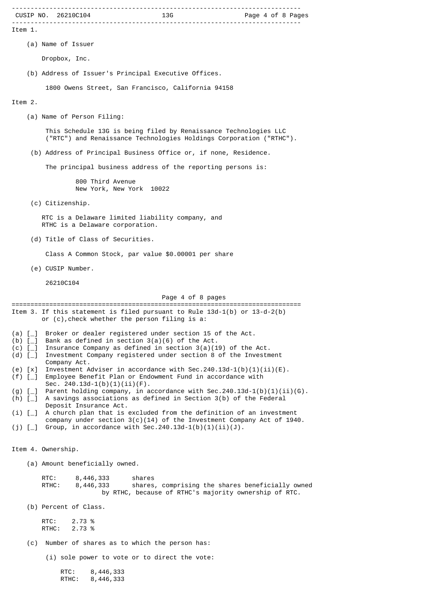|                            | CUSIP NO. 26210C104                                                                                                                                  | 13G               | Page 4 of 8 Pages                                                                                         |  |  |  |  |  |
|----------------------------|------------------------------------------------------------------------------------------------------------------------------------------------------|-------------------|-----------------------------------------------------------------------------------------------------------|--|--|--|--|--|
| Item 1.                    |                                                                                                                                                      |                   |                                                                                                           |  |  |  |  |  |
|                            | (a) Name of Issuer                                                                                                                                   |                   |                                                                                                           |  |  |  |  |  |
|                            | Dropbox, Inc.                                                                                                                                        |                   |                                                                                                           |  |  |  |  |  |
|                            | (b) Address of Issuer's Principal Executive Offices.                                                                                                 |                   |                                                                                                           |  |  |  |  |  |
|                            | 1800 Owens Street, San Francisco, California 94158                                                                                                   |                   |                                                                                                           |  |  |  |  |  |
| Item 2.                    |                                                                                                                                                      |                   |                                                                                                           |  |  |  |  |  |
| (a) Name of Person Filing: |                                                                                                                                                      |                   |                                                                                                           |  |  |  |  |  |
|                            | This Schedule 13G is being filed by Renaissance Technologies LLC<br>("RTC") and Renaissance Technologies Holdings Corporation ("RTHC").              |                   |                                                                                                           |  |  |  |  |  |
|                            | (b) Address of Principal Business Office or, if none, Residence.                                                                                     |                   |                                                                                                           |  |  |  |  |  |
|                            | The principal business address of the reporting persons is:                                                                                          |                   |                                                                                                           |  |  |  |  |  |
|                            | 800 Third Avenue<br>New York, New York 10022                                                                                                         |                   |                                                                                                           |  |  |  |  |  |
|                            | (c) Citizenship.                                                                                                                                     |                   |                                                                                                           |  |  |  |  |  |
|                            | RTC is a Delaware limited liability company, and<br>RTHC is a Delaware corporation.                                                                  |                   |                                                                                                           |  |  |  |  |  |
|                            | (d) Title of Class of Securities.                                                                                                                    |                   |                                                                                                           |  |  |  |  |  |
|                            | Class A Common Stock, par value \$0.00001 per share                                                                                                  |                   |                                                                                                           |  |  |  |  |  |
|                            | (e) CUSIP Number.                                                                                                                                    |                   |                                                                                                           |  |  |  |  |  |
|                            | 26210C104                                                                                                                                            |                   |                                                                                                           |  |  |  |  |  |
|                            |                                                                                                                                                      | Page 4 of 8 pages |                                                                                                           |  |  |  |  |  |
|                            | Item 3. If this statement is filed pursuant to Rule $13d-1(b)$ or $13-d-2(b)$<br>or (c), check whether the person filing is a:                       |                   |                                                                                                           |  |  |  |  |  |
| $(b)$ [_]                  | (a) [_] Broker or dealer registered under section 15 of the Act.<br>Bank as defined in section $3(a)(6)$ of the Act.                                 |                   |                                                                                                           |  |  |  |  |  |
| $(c)$ [ $_{\_}$ ]<br>(d) [ | Insurance Company as defined in section $3(a)(19)$ of the Act.                                                                                       |                   |                                                                                                           |  |  |  |  |  |
| $(e) [x]$                  | Investment Company registered under section 8 of the Investment<br>Company Act.<br>Investment Adviser in accordance with Sec.240.13d-1(b)(1)(ii)(E). |                   |                                                                                                           |  |  |  |  |  |
| $(f)$ [_]                  | Employee Benefit Plan or Endowment Fund in accordance with<br>Sec. $240.13d-1(b)(1)(ii)(F)$ .                                                        |                   |                                                                                                           |  |  |  |  |  |
| $(g)$ [<br>(h) $[-]$       | Parent holding company, in accordance with Sec.240.13d-1(b)(1)(ii)(G).<br>A savings associations as defined in Section 3(b) of the Federal           |                   |                                                                                                           |  |  |  |  |  |
| $(i)$ [_]                  | Deposit Insurance Act.<br>A church plan that is excluded from the definition of an investment                                                        |                   |                                                                                                           |  |  |  |  |  |
| (j) $[-]$                  | Group, in accordance with Sec.240.13d-1(b)(1)(ii)(J).                                                                                                |                   | company under section $3(c)(14)$ of the Investment Company Act of 1940.                                   |  |  |  |  |  |
|                            | Item 4. Ownership.                                                                                                                                   |                   |                                                                                                           |  |  |  |  |  |
|                            | (a) Amount beneficially owned.                                                                                                                       |                   |                                                                                                           |  |  |  |  |  |
|                            | RTC:<br>8,446,333<br>RTHC:<br>8,446,333                                                                                                              | shares            | shares, comprising the shares beneficially owned<br>by RTHC, because of RTHC's majority ownership of RTC. |  |  |  |  |  |
|                            | (b) Percent of Class.                                                                                                                                |                   |                                                                                                           |  |  |  |  |  |
|                            | RTC:<br>2.73 %<br>2.73 %<br>RTHC:                                                                                                                    |                   |                                                                                                           |  |  |  |  |  |
| (c)                        | Number of shares as to which the person has:                                                                                                         |                   |                                                                                                           |  |  |  |  |  |
|                            | (i) sole power to vote or to direct the vote:                                                                                                        |                   |                                                                                                           |  |  |  |  |  |
|                            | RTC:<br>8,446,333<br>RTHC:<br>8,446,333                                                                                                              |                   |                                                                                                           |  |  |  |  |  |

-----------------------------------------------------------------------------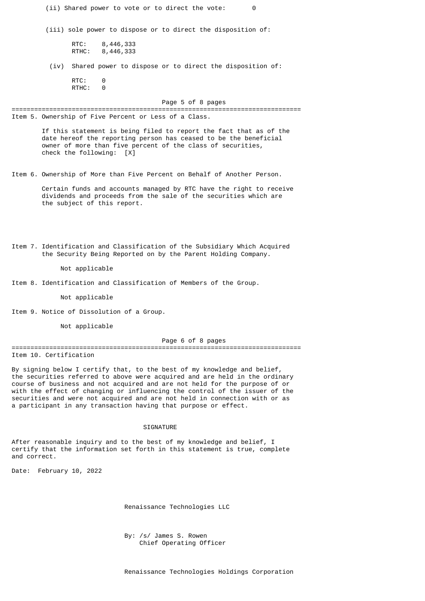(ii) Shared power to vote or to direct the vote: 0 (iii) sole power to dispose or to direct the disposition of: RTC: 8,446,333 RTHC: 8,446,333 (iv) Shared power to dispose or to direct the disposition of: RTC: 0 RTHC: 0 Page 5 of 8 pages ============================================================================= Item 5. Ownership of Five Percent or Less of a Class. If this statement is being filed to report the fact that as of the date hereof the reporting person has ceased to be the beneficial owner of more than five percent of the class of securities, check the following: [X] Item 6. Ownership of More than Five Percent on Behalf of Another Person. Certain funds and accounts managed by RTC have the right to receive dividends and proceeds from the sale of the securities which are the subject of this report. Item 7. Identification and Classification of the Subsidiary Which Acquired the Security Being Reported on by the Parent Holding Company. Not applicable Item 8. Identification and Classification of Members of the Group. Not applicable Item 9. Notice of Dissolution of a Group. Not applicable Page 6 of 8 pages ============================================================================= Item 10. Certification By signing below I certify that, to the best of my knowledge and belief, the securities referred to above were acquired and are held in the ordinary course of business and not acquired and are not held for the purpose of or with the effect of changing or influencing the control of the issuer of the securities and were not acquired and are not held in connection with or as a participant in any transaction having that purpose or effect.

#### SIGNATURE

After reasonable inquiry and to the best of my knowledge and belief, I certify that the information set forth in this statement is true, complete and correct.

Date: February 10, 2022

Renaissance Technologies LLC

 By: /s/ James S. Rowen Chief Operating Officer